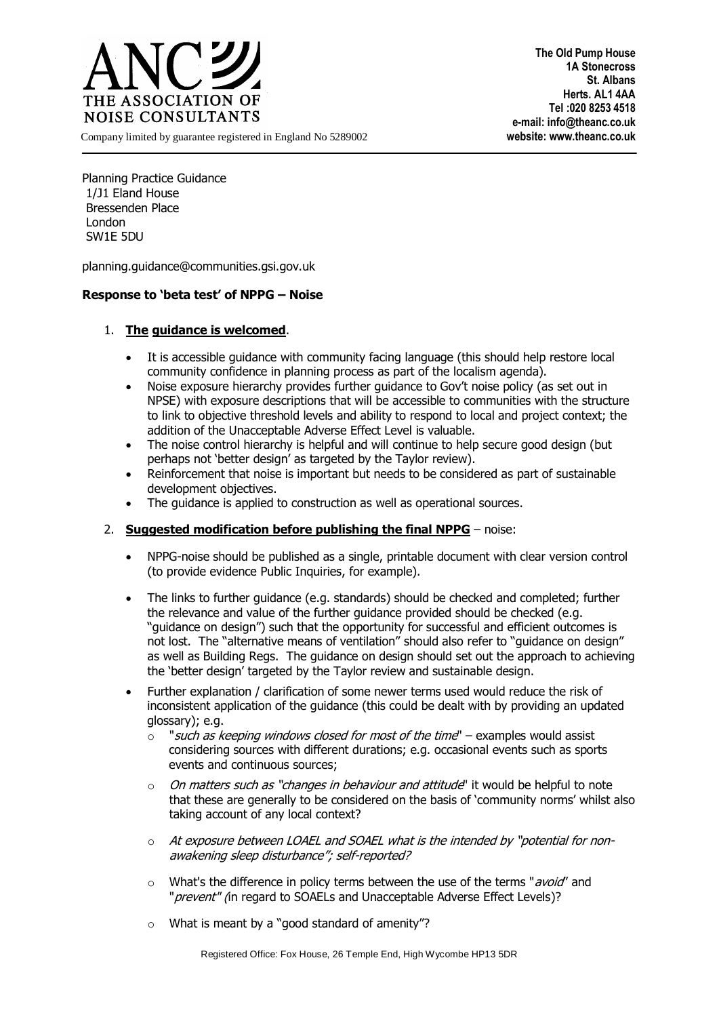

**The Old Pump House 1A Stonecross St. Albans Herts. AL1 4AA Tel :020 8253 4518 e-mail: info@theanc.co.uk**

Company limited by guarantee registered in England No 5289002 **website: www.theanc.co.uk**

Planning Practice Guidance 1/J1 Eland House Bressenden Place London SW1E 5DU

[planning.guidance@communities.gsi.gov.uk](mailto:planning.guidance@communities.gsi.gov.uk)

## **Response to 'beta test' of NPPG – Noise**

## 1. **The guidance is welcomed**.

- It is accessible guidance with community facing language (this should help restore local community confidence in planning process as part of the localism agenda).
- Noise exposure hierarchy provides further guidance to Gov't noise policy (as set out in NPSE) with exposure descriptions that will be accessible to communities with the structure to link to objective threshold levels and ability to respond to local and project context; the addition of the Unacceptable Adverse Effect Level is valuable.
- The noise control hierarchy is helpful and will continue to help secure good design (but perhaps not 'better design' as targeted by the Taylor review).
- Reinforcement that noise is important but needs to be considered as part of sustainable development objectives.
- The quidance is applied to construction as well as operational sources.

## 2. **Suggested modification before publishing the final NPPG** – noise:

- NPPG-noise should be published as a single, printable document with clear version control (to provide evidence Public Inquiries, for example).
- The links to further guidance (e.g. standards) should be checked and completed; further the relevance and value of the further guidance provided should be checked (e.g. "guidance on design") such that the opportunity for successful and efficient outcomes is not lost. The "alternative means of ventilation" should also refer to "guidance on design" as well as Building Regs. The guidance on design should set out the approach to achieving the 'better design' targeted by the Taylor review and sustainable design.
- Further explanation / clarification of some newer terms used would reduce the risk of inconsistent application of the guidance (this could be dealt with by providing an updated glossary); e.g.
	- $\circ$  "such as keeping windows closed for most of the time" examples would assist considering sources with different durations; e.g. occasional events such as sports events and continuous sources;
	- $\circ$  On matters such as "changes in behaviour and attitude" it would be helpful to note that these are generally to be considered on the basis of 'community norms' whilst also taking account of any local context?
	- o At exposure between LOAEL and SOAEL what is the intended by "potential for nonawakening sleep disturbance"; self-reported?
	- $\circ$  What's the difference in policy terms between the use of the terms "avoid" and "*prevent"* (in regard to SOAELs and Unacceptable Adverse Effect Levels)?
	- o What is meant by a "good standard of amenity"?